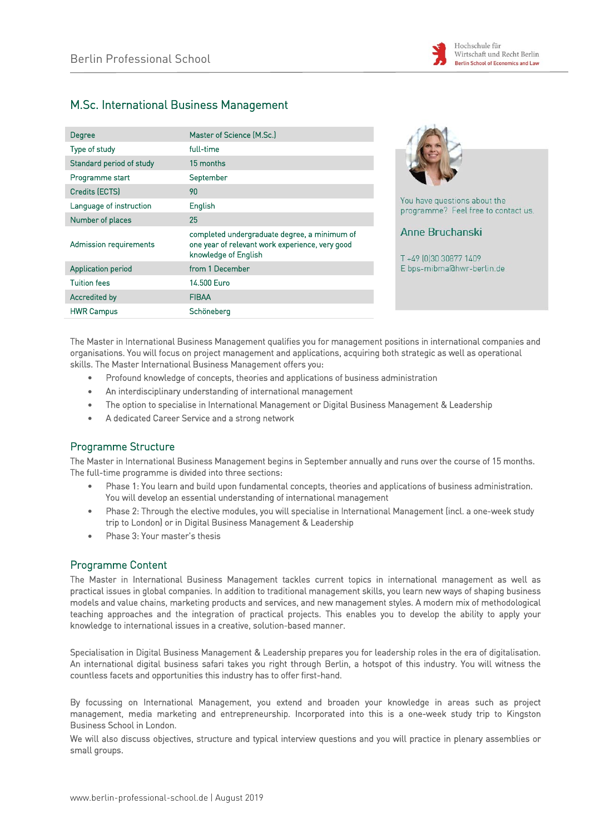

# M.Sc. International Business Management

| Degree                    | Master of Science (M.Sc.)                                                                                               |
|---------------------------|-------------------------------------------------------------------------------------------------------------------------|
| Type of study             | full-time                                                                                                               |
| Standard period of study  | 15 months                                                                                                               |
| Programme start           | September                                                                                                               |
| Credits (ECTS)            | 90                                                                                                                      |
| Language of instruction   | English                                                                                                                 |
| Number of places          | 25                                                                                                                      |
| Admission requirements    | completed undergraduate degree, a minimum of<br>one year of relevant work experience, very good<br>knowledge of English |
| <b>Application period</b> | from 1 December                                                                                                         |
| <b>Tuition fees</b>       | 14.500 Euro                                                                                                             |
| Accredited by             | <b>FIBAA</b>                                                                                                            |
| <b>HWR Campus</b>         | Schöneberg                                                                                                              |



You have questions about the programme? Feel free to contact us.

**Anne Bruchanski** 

T+49 [0]30 30877 1409 E bps-mibma@hwr-berlin.de

The Master in International Business Management qualifies you for management positions in international companies and organisations. You will focus on project management and applications, acquiring both strategic as well as operational skills. The Master International Business Management offers you:

- Profound knowledge of concepts, theories and applications of business administration
- An interdisciplinary understanding of international management
- The option to specialise in International Management or Digital Business Management & Leadership
- A dedicated Career Service and a strong network

# Programme Structure

The Master in International Business Management begins in September annually and runs over the course of 15 months. The full-time programme is divided into three sections:

- Phase 1: You learn and build upon fundamental concepts, theories and applications of business administration. You will develop an essential understanding of international management
- Phase 2: Through the elective modules, you will specialise in International Management (incl. a one-week study trip to London) or in Digital Business Management & Leadership
- Phase 3: Your master's thesis

# Programme Content

The Master in International Business Management tackles current topics in international management as well as practical issues in global companies. In addition to traditional management skills, you learn new ways of shaping business models and value chains, marketing products and services, and new management styles. A modern mix of methodological teaching approaches and the integration of practical projects. This enables you to develop the ability to apply your knowledge to international issues in a creative, solution-based manner.

Specialisation in Digital Business Management & Leadership prepares you for leadership roles in the era of digitalisation. An international digital business safari takes you right through Berlin, a hotspot of this industry. You will witness the countless facets and opportunities this industry has to offer first-hand.

By focussing on International Management, you extend and broaden your knowledge in areas such as project management, media marketing and entrepreneurship. Incorporated into this is a one-week study trip to Kingston Business School in London.

We will also discuss objectives, structure and typical interview questions and you will practice in plenary assemblies or small groups.